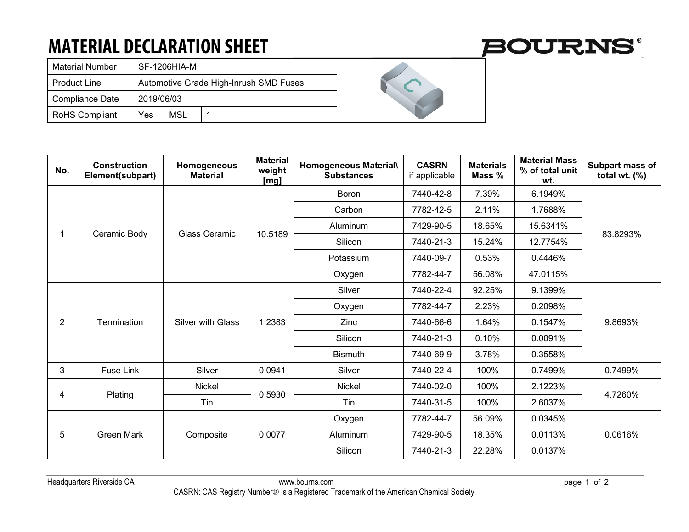## **MATERIAL DECLARATION SHEET**

| <b>Material Number</b> | SF-1206HIA-M |                                        |  |  |  |
|------------------------|--------------|----------------------------------------|--|--|--|
| <b>Product Line</b>    |              | Automotive Grade High-Inrush SMD Fuses |  |  |  |
| <b>Compliance Date</b> |              | 2019/06/03                             |  |  |  |
| <b>RoHS Compliant</b>  | Yes          | MSL                                    |  |  |  |

| No.            | <b>Construction</b><br>Element(subpart) | Homogeneous<br><b>Material</b> | <b>Material</b><br>weight<br>[mg] | Homogeneous Material\<br><b>Substances</b> | <b>CASRN</b><br>if applicable | <b>Materials</b><br>Mass % | <b>Material Mass</b><br>% of total unit<br>wt. | Subpart mass of<br>total wt. $(\%)$ |
|----------------|-----------------------------------------|--------------------------------|-----------------------------------|--------------------------------------------|-------------------------------|----------------------------|------------------------------------------------|-------------------------------------|
|                | Ceramic Body                            | <b>Glass Ceramic</b>           | 10.5189                           | Boron                                      | 7440-42-8                     | 7.39%                      | 6.1949%                                        | 83.8293%                            |
|                |                                         |                                |                                   | Carbon                                     | 7782-42-5                     | 2.11%                      | 1.7688%                                        |                                     |
|                |                                         |                                |                                   | Aluminum                                   | 7429-90-5                     | 18.65%                     | 15.6341%                                       |                                     |
|                |                                         |                                |                                   | Silicon                                    | 7440-21-3                     | 15.24%                     | 12.7754%                                       |                                     |
|                |                                         |                                |                                   | Potassium                                  | 7440-09-7                     | 0.53%                      | 0.4446%                                        |                                     |
|                |                                         |                                |                                   | Oxygen                                     | 7782-44-7                     | 56.08%                     | 47.0115%                                       |                                     |
| $\overline{2}$ | Termination                             | <b>Silver with Glass</b>       | 1.2383                            | Silver                                     | 7440-22-4                     | 92.25%                     | 9.1399%                                        | 9.8693%                             |
|                |                                         |                                |                                   | Oxygen                                     | 7782-44-7                     | 2.23%                      | 0.2098%                                        |                                     |
|                |                                         |                                |                                   | Zinc                                       | 7440-66-6                     | 1.64%                      | 0.1547%                                        |                                     |
|                |                                         |                                |                                   | Silicon                                    | 7440-21-3                     | 0.10%                      | 0.0091%                                        |                                     |
|                |                                         |                                |                                   | <b>Bismuth</b>                             | 7440-69-9                     | 3.78%                      | 0.3558%                                        |                                     |
| 3              | <b>Fuse Link</b>                        | Silver                         | 0.0941                            | Silver                                     | 7440-22-4                     | 100%                       | 0.7499%                                        | 0.7499%                             |
| 4              | Plating                                 | <b>Nickel</b>                  | 0.5930                            | <b>Nickel</b>                              | 7440-02-0                     | 100%                       | 2.1223%                                        | 4.7260%                             |
|                |                                         | Tin                            |                                   | Tin                                        | 7440-31-5                     | 100%                       | 2.6037%                                        |                                     |
| 5              | <b>Green Mark</b>                       | Composite                      | 0.0077                            | Oxygen                                     | 7782-44-7                     | 56.09%                     | 0.0345%                                        | 0.0616%                             |
|                |                                         |                                |                                   | Aluminum                                   | 7429-90-5                     | 18.35%                     | 0.0113%                                        |                                     |
|                |                                         |                                |                                   | Silicon                                    | 7440-21-3                     | 22.28%                     | 0.0137%                                        |                                     |

Key

Headquarters Riverside CA www.bourns.com page 1 of 2 CASRN: CAS Registry Number® is a Registered Trademark of the American Chemical Society